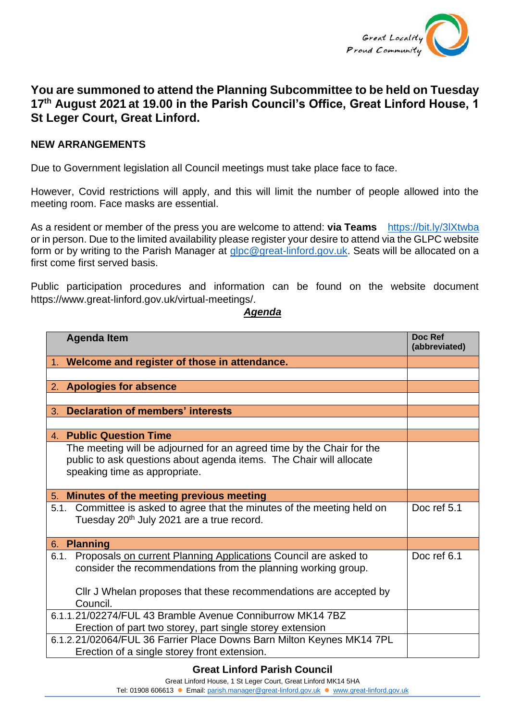

## **You are summoned to attend the Planning Subcommittee to be held on Tuesday 17th August 2021 at 19.00 in the Parish Council's Office, Great Linford House, 1 St Leger Court, Great Linford.**

## **NEW ARRANGEMENTS**

Due to Government legislation all Council meetings must take place face to face.

However, Covid restrictions will apply, and this will limit the number of people allowed into the meeting room. Face masks are essential.

As a resident or member of the press you are welcome to attend: **via Teams** <https://bit.ly/3lXtwba> or in person. Due to the limited availability please register your desire to attend via the GLPC website form or by writing to the Parish Manager at [glpc@great-linford.gov.uk.](mailto:glpc@great-linford.gov.uk) Seats will be allocated on a first come first served basis.

Public participation procedures and information can be found on the website document [https://www.great-linford.gov.uk/virtual-meetings/.](https://www.great-linford.gov.uk/virtual-meetings/)

## *Agenda*

|                       | <b>Agenda Item</b>                                                                                                                                                                                         | Doc Ref<br>(abbreviated) |
|-----------------------|------------------------------------------------------------------------------------------------------------------------------------------------------------------------------------------------------------|--------------------------|
|                       | 1. Welcome and register of those in attendance.                                                                                                                                                            |                          |
|                       |                                                                                                                                                                                                            |                          |
|                       | 2. Apologies for absence                                                                                                                                                                                   |                          |
|                       |                                                                                                                                                                                                            |                          |
| 3 <sub>1</sub>        | <b>Declaration of members' interests</b>                                                                                                                                                                   |                          |
|                       |                                                                                                                                                                                                            |                          |
|                       | <b>4. Public Question Time</b>                                                                                                                                                                             |                          |
|                       | The meeting will be adjourned for an agreed time by the Chair for the<br>public to ask questions about agenda items. The Chair will allocate<br>speaking time as appropriate.                              |                          |
| 5 <sub>1</sub>        | Minutes of the meeting previous meeting                                                                                                                                                                    |                          |
|                       | 5.1. Committee is asked to agree that the minutes of the meeting held on<br>Tuesday 20 <sup>th</sup> July 2021 are a true record.                                                                          | Doc ref 5.1              |
| <b>Planning</b><br>6. |                                                                                                                                                                                                            |                          |
|                       | 6.1. Proposals on current Planning Applications Council are asked to<br>consider the recommendations from the planning working group.<br>CIIr J Whelan proposes that these recommendations are accepted by | Doc ref 6.1              |
|                       | Council.                                                                                                                                                                                                   |                          |
|                       | 6.1.1.21/02274/FUL 43 Bramble Avenue Conniburrow MK14 7BZ<br>Erection of part two storey, part single storey extension                                                                                     |                          |
|                       | 6.1.2.21/02064/FUL 36 Farrier Place Downs Barn Milton Keynes MK14 7PL                                                                                                                                      |                          |
|                       | Erection of a single storey front extension.                                                                                                                                                               |                          |